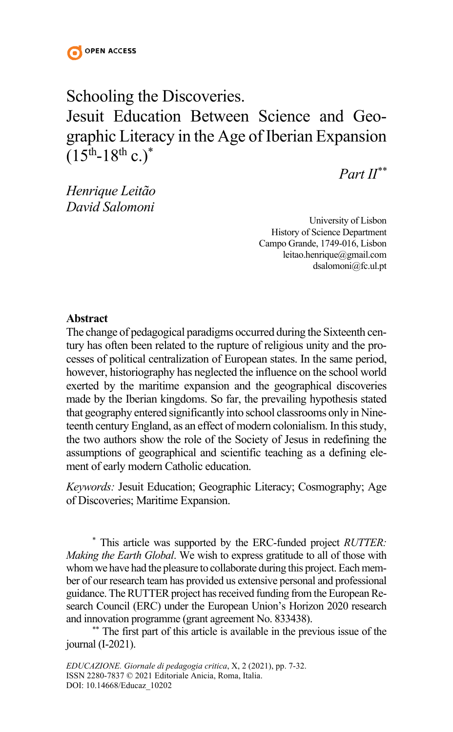

# Schooling the Discoveries. Jesuit Education Between Science and Geographic Literacy in the Age of Iberian Expansion  $(15^{th} - 18^{th} c.)^*$

*Part II\*\**

*Henrique Leitão David Salomoni*

> University of Lisbon History of Science Department Campo Grande, 1749-016, Lisbon leitao.henrique@gmail.com dsalomoni@fc.ul.pt

#### **Abstract**

The change of pedagogical paradigms occurred during the Sixteenth century has often been related to the rupture of religious unity and the processes of political centralization of European states. In the same period, however, historiography has neglected the influence on the school world exerted by the maritime expansion and the geographical discoveries made by the Iberian kingdoms. So far, the prevailing hypothesis stated that geography entered significantly into school classrooms only in Nineteenth century England, as an effect of modern colonialism. In this study, the two authors show the role of the Society of Jesus in redefining the assumptions of geographical and scientific teaching as a defining element of early modern Catholic education.

*Keywords:* Jesuit Education; Geographic Literacy; Cosmography; Age of Discoveries; Maritime Expansion.

\* This article was supported by the ERC-funded project *RUTTER: Making the Earth Global*. We wish to express gratitude to all of those with whom we have had the pleasure to collaborate during this project. Each member of our research team has provided us extensive personal and professional guidance. The RUTTER project has received funding from the European Research Council (ERC) under the European Union's Horizon 2020 research and innovation programme (grant agreement No. 833438).

\*\* The first part of this article is available in the previous issue of the journal (I-2021).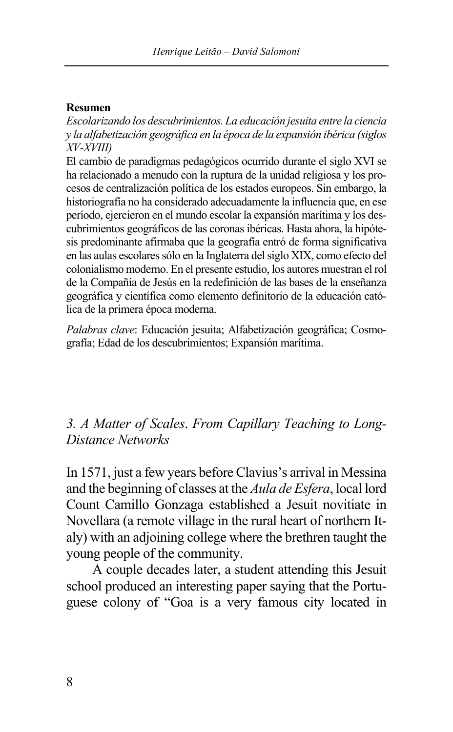### **Resumen**

*Escolarizando los descubrimientos. La educación jesuita entre la ciencia y la alfabetización geográfica en la época de la expansión ibérica (siglos XV-XVIII)*

El cambio de paradigmas pedagógicos ocurrido durante el siglo XVI se ha relacionado a menudo con la ruptura de la unidad religiosa y los procesos de centralización política de los estados europeos. Sin embargo, la historiografía no ha considerado adecuadamente la influencia que, en ese período, ejercieron en el mundo escolar la expansión marítima y los descubrimientos geográficos de las coronas ibéricas. Hasta ahora, la hipótesis predominante afirmaba que la geografía entró de forma significativa en las aulas escolares sólo en la Inglaterra del siglo XIX, como efecto del colonialismo moderno. En el presente estudio, los autores muestran el rol de la Compañía de Jesús en la redefinición de las bases de la enseñanza geográfica y científica como elemento definitorio de la educación católica de la primera época moderna.

*Palabras clave*: Educación jesuita; Alfabetización geográfica; Cosmografía; Edad de los descubrimientos; Expansión marítima.

### *3. A Matter of Scales*. *From Capillary Teaching to Long-Distance Networks*

In 1571, just a few years before Clavius's arrival in Messina and the beginning of classes at the *Aula de Esfera*, local lord Count Camillo Gonzaga established a Jesuit novitiate in Novellara (a remote village in the rural heart of northern Italy) with an adjoining college where the brethren taught the young people of the community.

A couple decades later, a student attending this Jesuit school produced an interesting paper saying that the Portuguese colony of "Goa is a very famous city located in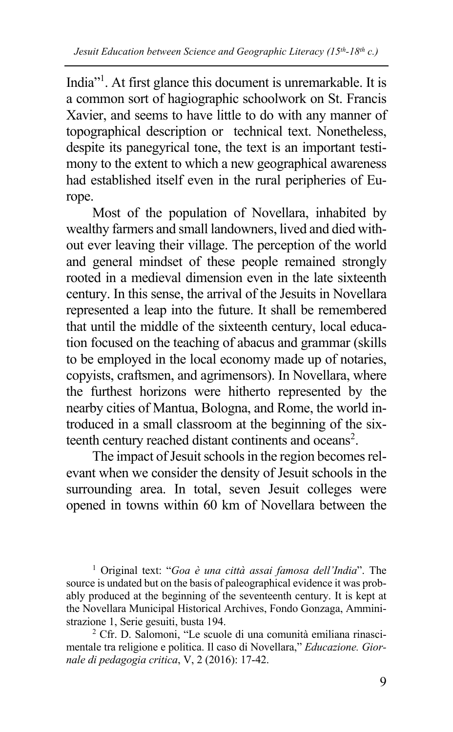India"<sup>1</sup>. At first glance this document is unremarkable. It is a common sort of hagiographic schoolwork on St. Francis Xavier, and seems to have little to do with any manner of topographical description or technical text. Nonetheless, despite its panegyrical tone, the text is an important testimony to the extent to which a new geographical awareness had established itself even in the rural peripheries of Europe.

Most of the population of Novellara, inhabited by wealthy farmers and small landowners, lived and died without ever leaving their village. The perception of the world and general mindset of these people remained strongly rooted in a medieval dimension even in the late sixteenth century. In this sense, the arrival of the Jesuits in Novellara represented a leap into the future. It shall be remembered that until the middle of the sixteenth century, local education focused on the teaching of abacus and grammar (skills to be employed in the local economy made up of notaries, copyists, craftsmen, and agrimensors). In Novellara, where the furthest horizons were hitherto represented by the nearby cities of Mantua, Bologna, and Rome, the world introduced in a small classroom at the beginning of the sixteenth century reached distant continents and oceans<sup>2</sup>.

The impact of Jesuit schools in the region becomes relevant when we consider the density of Jesuit schools in the surrounding area. In total, seven Jesuit colleges were opened in towns within 60 km of Novellara between the

<sup>1</sup> Original text: "*Goa è una città assai famosa dell'India*". The source is undated but on the basis of paleographical evidence it was probably produced at the beginning of the seventeenth century. It is kept at the Novellara Municipal Historical Archives, Fondo Gonzaga, Amministrazione 1, Serie gesuiti, busta 194.

<sup>2</sup> Cfr. D. Salomoni, "Le scuole di una comunità emiliana rinascimentale tra religione e politica. Il caso di Novellara," *Educazione. Giornale di pedagogia critica*, V, 2 (2016): 17-42.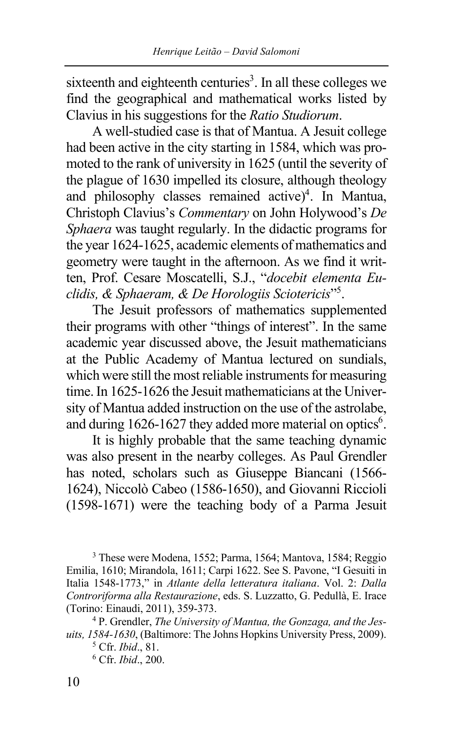sixteenth and eighteenth centuries<sup>3</sup>. In all these colleges we find the geographical and mathematical works listed by Clavius in his suggestions for the *Ratio Studiorum*.

A well-studied case is that of Mantua. A Jesuit college had been active in the city starting in 1584, which was promoted to the rank of university in 1625 (until the severity of the plague of 1630 impelled its closure, although theology and philosophy classes remained active) 4 . In Mantua, Christoph Clavius's *Commentary* on John Holywood's *De Sphaera* was taught regularly. In the didactic programs for the year 1624-1625, academic elements of mathematics and geometry were taught in the afternoon. As we find it written, Prof. Cesare Moscatelli, S.J., "*docebit elementa Euclidis, & Sphaeram, & De Horologiis Sciotericis*"5 .

The Jesuit professors of mathematics supplemented their programs with other "things of interest". In the same academic year discussed above, the Jesuit mathematicians at the Public Academy of Mantua lectured on sundials, which were still the most reliable instruments for measuring time. In 1625-1626 the Jesuit mathematicians at the University of Mantua added instruction on the use of the astrolabe, and during  $1626 - 1627$  they added more material on optics<sup>6</sup>.

It is highly probable that the same teaching dynamic was also present in the nearby colleges. As Paul Grendler has noted, scholars such as Giuseppe Biancani (1566- 1624), Niccolò Cabeo (1586-1650), and Giovanni Riccioli (1598-1671) were the teaching body of a Parma Jesuit

<sup>3</sup> These were Modena, 1552; Parma, 1564; Mantova, 1584; Reggio Emilia, 1610; Mirandola, 1611; Carpi 1622. See S. Pavone, "I Gesuiti in Italia 1548-1773," in *Atlante della letteratura italiana*. Vol. 2: *Dalla Controriforma alla Restaurazione*, eds. S. Luzzatto, G. Pedullà, E. Irace (Torino: Einaudi, 2011), 359-373.

<sup>4</sup> P. Grendler, *The University of Mantua, the Gonzaga, and the Jesuits, 1584-1630*, (Baltimore: The Johns Hopkins University Press, 2009).

<sup>5</sup> Cfr. *Ibid*., 81.

<sup>6</sup> Cfr. *Ibid*., 200.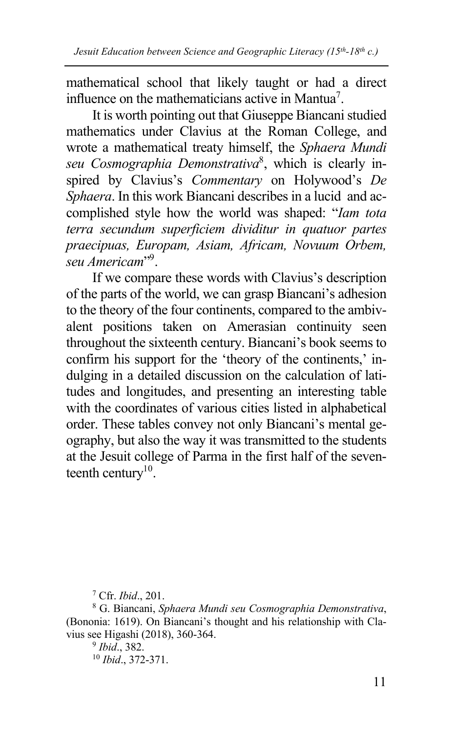mathematical school that likely taught or had a direct influence on the mathematicians active in Mantua<sup>7</sup>.

It is worth pointing out that Giuseppe Biancanistudied mathematics under Clavius at the Roman College, and wrote a mathematical treaty himself, the *Sphaera Mundi seu Cosmographia Demonstrativa*<sup>8</sup> , which is clearly inspired by Clavius's *Commentary* on Holywood's *De Sphaera*. In this work Biancani describes in a lucid and accomplished style how the world was shaped: "*Iam tota terra secundum superficiem dividitur in quatuor partes praecipuas, Europam, Asiam, Africam, Novuum Orbem, seu Americam*"9 .

If we compare these words with Clavius's description of the parts of the world, we can grasp Biancani's adhesion to the theory of the four continents, compared to the ambivalent positions taken on Amerasian continuity seen throughout the sixteenth century. Biancani's book seems to confirm his support for the 'theory of the continents,' indulging in a detailed discussion on the calculation of latitudes and longitudes, and presenting an interesting table with the coordinates of various cities listed in alphabetical order. These tables convey not only Biancani's mental geography, but also the way it was transmitted to the students at the Jesuit college of Parma in the first half of the seventeenth century<sup>10</sup>.

<sup>7</sup> Cfr. *Ibid*., 201.

<sup>8</sup> G. Biancani, *Sphaera Mundi seu Cosmographia Demonstrativa*, (Bononia: 1619). On Biancani's thought and his relationship with Clavius see Higashi (2018), 360-364.

<sup>9</sup> *Ibid*., 382. <sup>10</sup> *Ibid*., 372-371.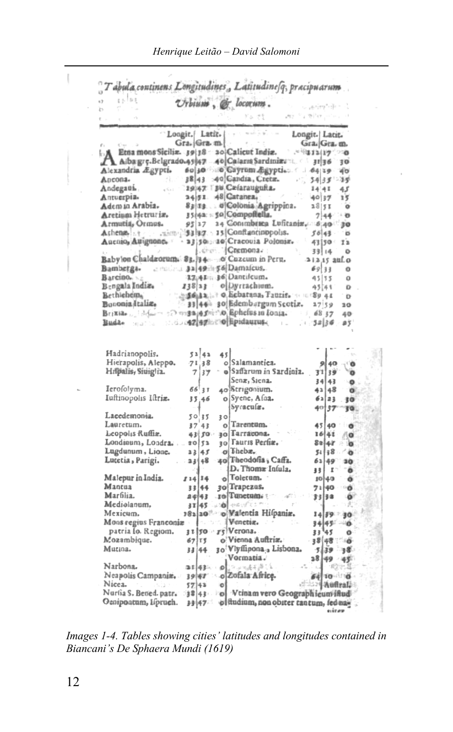| ووالي<br>x3<br>'n                                              |                     |           | Urbium, & locorum.                                                     |      |                                  |                 |
|----------------------------------------------------------------|---------------------|-----------|------------------------------------------------------------------------|------|----------------------------------|-----------------|
|                                                                |                     |           |                                                                        | an n | a militar                        |                 |
|                                                                | Loogit, Latit.      |           |                                                                        |      |                                  |                 |
|                                                                | Gra. Gra. m.        |           |                                                                        |      | Longit.   Latit.<br>Gra. Gra. m. |                 |
| Etna mons Sicilia. 39 38 : 20 Calicut India.                   |                     |           |                                                                        |      | ごうほぼコリクしつの                       |                 |
| Alba grç Belgrado 43 47 - 40  Calaris Sardinizi :: 31 36       |                     |           |                                                                        |      |                                  | 30              |
| Alexandria Ægypti.                                             |                     |           | 60 30 00 Gayrum Egyptics ( 1.64 19.                                    |      |                                  | ¥σ              |
| Ancona.<br>6k.                                                 |                     |           | 38 43 40 Gandia, Cretz.                                                |      |                                  |                 |
| Andegaus.                                                      |                     |           | 1947 Bu Czfaraugufta.                                                  |      | $5433 - 19$                      |                 |
| Antuerpia.                                                     |                     |           | 24 51 48 Gatanea.                                                      |      | 1441<br>4037                     | 45              |
| Adem in Arabia.                                                |                     |           | 82 as  d'Colonia Agrippina.                                            |      | 28 51                            | 15<br>$\circ$   |
| Aretium Hetruriz.                                              |                     |           | 35(4a: -: 50 Compofiella.                                              |      |                                  |                 |
|                                                                |                     |           |                                                                        |      | 744 0                            |                 |
| Armutia, Ormus.                                                |                     |           | 95 27 24 Consubtica Lufitania. 5:40 230                                |      |                                  |                 |
| Ashena : t                                                     |                     |           | - 王三郎 多3 第7: 15   Confiantinopolis.<br>- a3 50::: a0 Cracouia Polonia. |      | $50 - 43$                        |                 |
| Aucnio, Autguone.                                              |                     |           |                                                                        |      | 43 50 12                         |                 |
|                                                                |                     |           | Lehen. (Cremona : :                                                    |      | 39 14                            | ٥               |
| Babylon Chaldrorum: 83.}34. o Cuzcum in Peru.                  |                     |           |                                                                        |      | $-21.215$ auf.o                  |                 |
| Bamberga.                                                      |                     |           | டாமப்பட் 3ம் 49ப்பு 6  Damaicus.                                       |      | 69 33                            | o               |
| Barcino, s.c                                                   |                     |           | 12.4 En 36 Dantileum.                                                  |      | 45 35                            | $\Omega$        |
| Bengala India.                                                 |                     |           | 138 a3 ol Dyrrachium.                                                  |      | 45 41                            | o               |
| Bethlehem,                                                     |                     |           | 近道商店&   i * o Bebatana, Tauzis, mon89.44                               |      |                                  | o               |
| Booonja Italia.                                                |                     |           | 33 44 30 Edemb rgum Scotiz.                                            |      | 27 59                            | 20              |
|                                                                |                     |           | : O maaja piirvo liphefus in Ionia.                                    | ÷ÿ,  | 68.57                            | 40              |
| <b>Budae institutions (地震)を受給する[指pidauxus-computer</b>         |                     |           |                                                                        | 54.7 | 3236                             | #5'             |
| Hierapolis, Aleppo.                                            | 71,38               |           | o Salamantica.                                                         |      | 9 40                             | ு               |
| Hilpalis, Siuiglia.                                            | 71<br>37            |           | o Saffarum in Sardinia.                                                |      | 31 39                            | ۰               |
|                                                                |                     |           | Senæ, Siena.                                                           |      | 34   43                          | ۰               |
| Ierofolyma.                                                    | 66 31               |           | 40}Strigonium.                                                         |      | 42 48                            | o               |
| Iuftinopolis Iltriæ.                                           | 35.46               |           | o Syene, Afaa.<br>Syraculæ.                                            |      | 62 23<br>40137                   | 30<br>TO.       |
| Lacedemonia.                                                   | 50 35               | 30        |                                                                        |      |                                  |                 |
| Lauretum.                                                      | 37'43               |           | o Tarentum.                                                            |      | 45 40 1                          | ு               |
| Leopolis Ruffiz.                                               | 43 50               |           | 30 Tarracona.                                                          |      | 16 41                            | ΛO              |
| Londinum, Londra                                               | 20 52               |           | 30 Fauris Perfia.                                                      |      | $8 = 4r - 0$                     |                 |
| Lugdunum, Lione.                                               | 23 45               |           | $o$ [ $b$ heb $x$ <sub>r</sub>                                         |      | $5118 - 0$                       |                 |
| Lucetia, Parigi.                                               | 33 48               |           | 40 Theodofia ; Caffa.                                                  |      | 62 49                            | 30 <sub>°</sub> |
|                                                                |                     |           | D. Thoma Intula.                                                       |      | $\mathbf{r}$<br>33               | $\bullet$       |
| Malepur in India.                                              | $114$ <sup>14</sup> |           | o l'oletum.                                                            |      | 10 40                            | ő               |
| Mantua                                                         | 33 44               |           | 30 Trapezus.                                                           |      | 7140 0                           |                 |
| Marfilia.                                                      | 2443                |           | $\pm \phi$ Tunctum $\epsilon$                                          |      | 33338                            | $\bullet$       |
| Mediolanum,                                                    | 31 45               |           | pad - Holyfics min                                                     |      |                                  | 泥               |
| Mexicum.                                                       |                     |           | 182 20 o Valentia Hilpania.                                            |      | $14 59 = 30$                     |                 |
| Mons regius Franconiæ                                          |                     |           | Venetia.                                                               |      | 34 43 - 0                        |                 |
| patria lo. Regiom.                                             |                     |           | 3 t 50 ry Verona.                                                      |      | 33 45                            | ۰               |
| Mozambique.                                                    | 67 TS               |           | o'Vienna Auftria.                                                      |      | 38 48 1046                       |                 |
| Mutina.                                                        | 33 44               |           | 30 Vlyflipona a Lisbona.                                               |      | $5/39 - 38$                      |                 |
|                                                                |                     |           | Vormatia.                                                              |      | ∖″≵4 (49 - 45                    |                 |
| Narbona.                                                       |                     |           | <b>≊# 43</b> % → ø]]⊙ <sub>⊘35</sub> {{{  <sup>2</sup> {\$}            |      | $\pm$                            | - 827, 4        |
| Neapolis Campania.                                             |                     |           | 39 47 o Zofala Africe.                                                 |      | 64 10 10 1                       |                 |
| Nicea.                                                         | 57143               | $\bullet$ |                                                                        |      | ボネン事業前程を提示                       |                 |
| Nurtia S. Betted. patr. 3843 Pol Vtinam vero Geographieum inud |                     |           |                                                                        |      |                                  |                 |
| Genipoatum, Lipruch.                                           | 封件汇                 |           | of ftudium, non obiter tantum, fed nay                                 |      |                                  |                 |
|                                                                |                     |           |                                                                        |      | erizav                           |                 |
|                                                                |                     |           |                                                                        |      |                                  |                 |

*Images 1-4. Tables showing cities' latitudes and longitudes contained in Biancani's De Sphaera Mundi (1619)*

I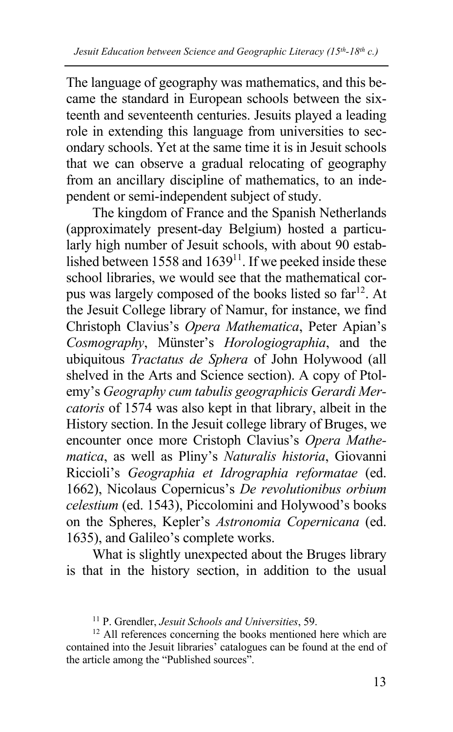The language of geography was mathematics, and this became the standard in European schools between the sixteenth and seventeenth centuries. Jesuits played a leading role in extending this language from universities to secondary schools. Yet at the same time it is in Jesuit schools that we can observe a gradual relocating of geography from an ancillary discipline of mathematics, to an independent or semi-independent subject of study.

The kingdom of France and the Spanish Netherlands (approximately present-day Belgium) hosted a particularly high number of Jesuit schools, with about 90 established between 1558 and  $1639^{11}$ . If we peeked inside these school libraries, we would see that the mathematical corpus was largely composed of the books listed so far<sup>12</sup>. At the Jesuit College library of Namur, for instance, we find Christoph Clavius's *Opera Mathematica*, Peter Apian's *Cosmography*, Münster's *Horologiographia*, and the ubiquitous *Tractatus de Sphera* of John Holywood (all shelved in the Arts and Science section). A copy of Ptolemy's *Geography cum tabulis geographicis Gerardi Mercatoris* of 1574 was also kept in that library, albeit in the History section. In the Jesuit college library of Bruges, we encounter once more Cristoph Clavius's *Opera Mathematica*, as well as Pliny's *Naturalis historia*, Giovanni Riccioli's *Geographia et Idrographia reformatae* (ed. 1662), Nicolaus Сopernicus's *De revolutionibus orbium celestium* (ed. 1543), Piccolomini and Holywood's books on the Spheres, Kepler's *Astronomia Copernicana* (ed. 1635), and Galileo's complete works.

What is slightly unexpected about the Bruges library is that in the history section, in addition to the usual

<sup>11</sup> P. Grendler, *Jesuit Schools and Universities*, 59.

<sup>&</sup>lt;sup>12</sup> All references concerning the books mentioned here which are contained into the Jesuit libraries' catalogues can be found at the end of the article among the "Published sources".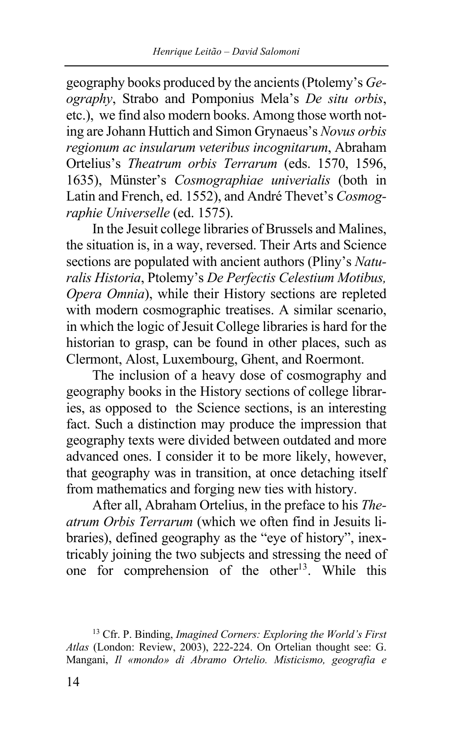geography books produced by the ancients(Ptolemy's *Geography*, Strabo and Pomponius Mela's *De situ orbis*, etc.), we find also modern books. Among those worth noting are Johann Huttich and Simon Grynaeus's *Novus orbis regionum ac insularum veteribus incognitarum*, Abraham Ortelius's *Тheatrum orbis Теrrarum* (eds. 1570, 1596, 1635), Münster's *Сosmographiae univerialis* (both in Latin and French, ed. 1552), and André Thevet's *Cosmographie Universelle* (ed. 1575).

In the Jesuit college libraries of Brussels and Malines, the situation is, in a way, reversed. Their Arts and Science sections are populated with ancient authors (Pliny's *Naturalis Historia*, Ptolemy's *De Perfectis Celestium Motibus, Opera Omnia*), while their History sections are repleted with modern cosmographic treatises. A similar scenario, in which the logic of Jesuit College libraries is hard for the historian to grasp, can be found in other places, such as Clermont, Alost, Luxembourg, Ghent, and Roermont.

The inclusion of a heavy dose of cosmography and geography books in the History sections of college libraries, as opposed to the Science sections, is an interesting fact. Such a distinction may produce the impression that geography texts were divided between outdated and more advanced ones. I consider it to be more likely, however, that geography was in transition, at once detaching itself from mathematics and forging new ties with history.

After all, Abraham Ortelius, in the preface to his *Theatrum Orbis Terrarum* (which we often find in Jesuits libraries), defined geography as the "eye of history", inextricably joining the two subjects and stressing the need of one for comprehension of the other<sup>13</sup>. While this

<sup>13</sup> Cfr. P. Binding, *Imagined Corners: Exploring the World's First Atlas* (London: Review, 2003), 222-224. On Ortelian thought see: G. Mangani, *Il «mondo» di Abramo Ortelio. Misticismo, geografia e*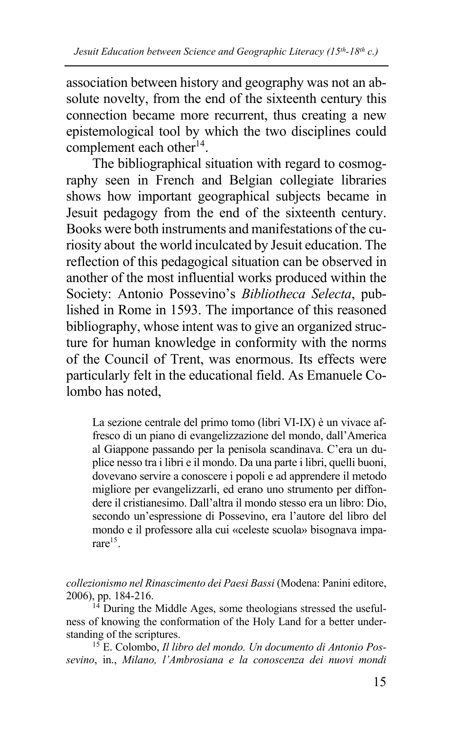association between history and geography was not an absolute novelty, from the end of the sixteenth century this connection became more recurrent, thus creating a new epistemological tool by which the two disciplines could complement each other<sup>14</sup>.

The bibliographical situation with regard to cosmography seen in French and Belgian collegiate libraries shows how important geographical subjects became in Jesuit pedagogy from the end of the sixteenth century. Books were both instruments and manifestations of the curiosity about the world inculcated by Jesuit education. The reflection of this pedagogical situation can be observed in another of the most influential works produced within the Society: Antonio Possevino's *Bibliotheca Selecta*, published in Rome in 1593. The importance of this reasoned bibliography, whose intent was to give an organized structure for human knowledge in conformity with the norms of the Council of Trent, was enormous. Its effects were particularly felt in the educational field. As Emanuele Colombo has noted,

La sezione centrale del primo tomo (libri VI-IX) è un vivace affresco di un piano di evangelizzazione del mondo, dall'America al Giappone passando per la penisola scandinava. C'era un duplice nesso tra i libri e il mondo. Da una parte i libri, quelli buoni, dovevano servire a conoscere i popoli e ad apprendere il metodo migliore per evangelizzarli, ed erano uno strumento per diffondere il cristianesimo. Dall'altra il mondo stesso era un libro: Dio, secondo un'espressione di Possevino, era l'autore del libro del mondo e il professore alla cui «celeste scuola» bisognava imparare15.

*collezionismo nel Rinascimento dei Paesi Bassi* (Modena: Panini editore, 2006), pp. 184-216.

 $14$  During the Middle Ages, some theologians stressed the usefulness of knowing the conformation of the Holy Land for a better understanding of the scriptures.

<sup>15</sup> E. Colombo, *Il libro del mondo. Un documento di Antonio Possevino*, in., *Milano, l'Ambrosiana e la conoscenza dei nuovi mondi*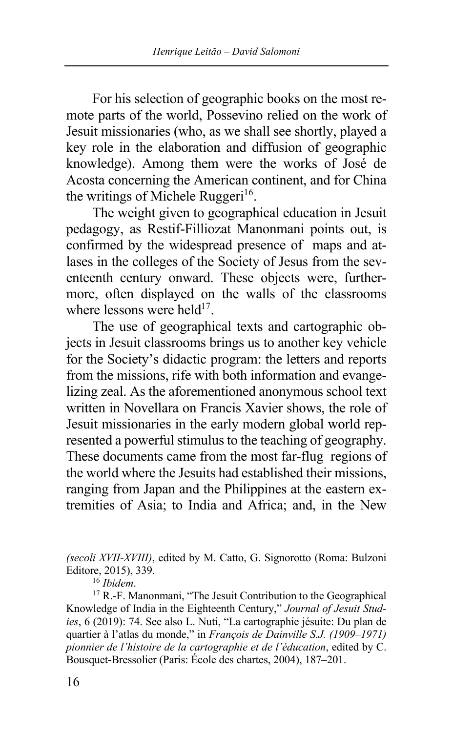For his selection of geographic books on the most remote parts of the world, Possevino relied on the work of Jesuit missionaries (who, as we shall see shortly, played a key role in the elaboration and diffusion of geographic knowledge). Among them were the works of José de Acosta concerning the American continent, and for China the writings of Michele Ruggeri<sup>16</sup>.

The weight given to geographical education in Jesuit pedagogy, as Restif-Filliozat Manonmani points out, is confirmed by the widespread presence of maps and atlases in the colleges of the Society of Jesus from the seventeenth century onward. These objects were, furthermore, often displayed on the walls of the classrooms where lessons were held $17$ .

The use of geographical texts and cartographic objects in Jesuit classrooms brings us to another key vehicle for the Society's didactic program: the letters and reports from the missions, rife with both information and evangelizing zeal. As the aforementioned anonymous school text written in Novellara on Francis Xavier shows, the role of Jesuit missionaries in the early modern global world represented a powerful stimulus to the teaching of geography. These documents came from the most far-flug regions of the world where the Jesuits had established their missions, ranging from Japan and the Philippines at the eastern extremities of Asia; to India and Africa; and, in the New

*(secoli XVII-XVIII)*, edited by M. Catto, G. Signorotto (Roma: Bulzoni Editore, 2015), 339.

<sup>16</sup> *Ibidem*.

<sup>17</sup> R.-F. Manonmani, "The Jesuit Contribution to the Geographical Knowledge of India in the Eighteenth Century," *Journal of Jesuit Studies*, 6 (2019): 74. See also L. Nuti, "La cartographie jésuite: Du plan de quartier à l'atlas du monde," in *François de Dainville S.J. (1909–1971) pionnier de l'histoire de la cartographie et de l'éducation*, edited by C. Bousquet-Bressolier (Paris: École des chartes, 2004), 187–201.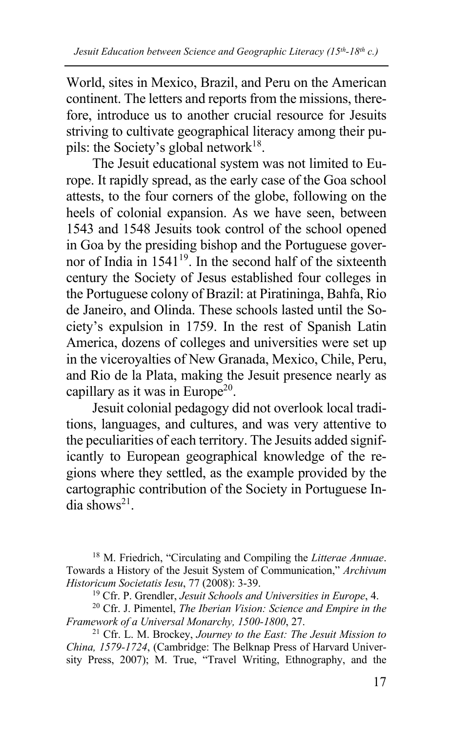World, sites in Mexico, Brazil, and Peru on the American continent. The letters and reports from the missions, therefore, introduce us to another crucial resource for Jesuits striving to cultivate geographical literacy among their pupils: the Society's global network<sup>18</sup>.

The Jesuit educational system was not limited to Europe. It rapidly spread, as the early case of the Goa school attests, to the four corners of the globe, following on the heels of colonial expansion. As we have seen, between 1543 and 1548 Jesuits took control of the school opened in Goa by the presiding bishop and the Portuguese governor of India in  $1541^{19}$ . In the second half of the sixteenth century the Society of Jesus established four colleges in the Portuguese colony of Brazil: at Piratininga, Bahfa, Rio de Janeiro, and Olinda. These schools lasted until the Society's expulsion in 1759. In the rest of Spanish Latin America, dozens of colleges and universities were set up in the viceroyalties of New Granada, Mexico, Chile, Peru, and Rio de la Plata, making the Jesuit presence nearly as capillary as it was in Europe<sup>20</sup>.

Jesuit colonial pedagogy did not overlook local traditions, languages, and cultures, and was very attentive to the peculiarities of each territory. The Jesuits added significantly to European geographical knowledge of the regions where they settled, as the example provided by the cartographic contribution of the Society in Portuguese In- $\frac{1}{\text{diag}}$ dia shows<sup>21</sup>

<sup>21</sup> Cfr. L. M. Brockey, *Journey to the East: The Jesuit Mission to China, 1579-1724*, (Cambridge: The Belknap Press of Harvard University Press, 2007); M. True, "Travel Writing, Ethnography, and the

<sup>18</sup> M. Friedrich, "Circulating and Compiling the *Litterae Annuae*. Towards a History of the Jesuit System of Communication," *Archivum Historicum Societatis Iesu*, 77 (2008): 3-39.

<sup>19</sup> Cfr. P. Grendler, *Jesuit Schools and Universities in Europe*, 4.

<sup>20</sup> Cfr. J. Pimentel, *The Iberian Vision: Science and Empire in the Framework of a Universal Monarchy, 1500-1800*, 27.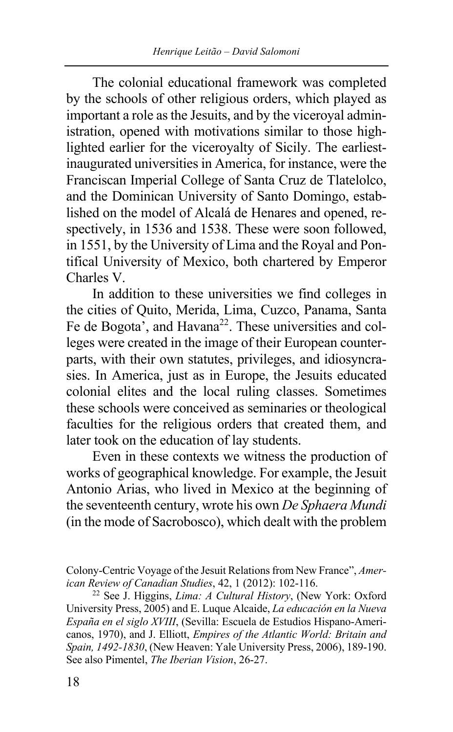The colonial educational framework was completed by the schools of other religious orders, which played as important a role as the Jesuits, and by the viceroyal administration, opened with motivations similar to those highlighted earlier for the viceroyalty of Sicily. The earliestinaugurated universities in America, for instance, were the Franciscan Imperial College of Santa Cruz de Tlatelolco, and the Dominican University of Santo Domingo, established on the model of Alcalá de Henares and opened, respectively, in 1536 and 1538. These were soon followed, in 1551, by the University of Lima and the Royal and Pontifical University of Mexico, both chartered by Emperor Charles V.

In addition to these universities we find colleges in the cities of Quito, Merida, Lima, Cuzco, Panama, Santa Fe de Bogota', and Havana<sup>22</sup>. These universities and colleges were created in the image of their European counterparts, with their own statutes, privileges, and idiosyncrasies. In America, just as in Europe, the Jesuits educated colonial elites and the local ruling classes. Sometimes these schools were conceived as seminaries or theological faculties for the religious orders that created them, and later took on the education of lay students.

Even in these contexts we witness the production of works of geographical knowledge. For example, the Jesuit Antonio Arias, who lived in Mexico at the beginning of the seventeenth century, wrote his own *De Sphaera Mundi* (in the mode of Sacrobosco), which dealt with the problem

<sup>22</sup> See J. Higgins, *Lima: A Cultural History*, (New York: Oxford University Press, 2005) and E. Luque Alcaide, *La educación en la Nueva España en el siglo XVIII*, (Sevilla: Escuela de Estudios Hispano-Americanos, 1970), and J. Elliott, *Empires of the Atlantic World: Britain and Spain, 1492-1830*, (New Heaven: Yale University Press, 2006), 189-190. See also Pimentel, *The Iberian Vision*, 26-27.

Colony-Centric Voyage of the Jesuit Relations from New France", *American Review of Canadian Studies*, 42, 1 (2012): 102-116.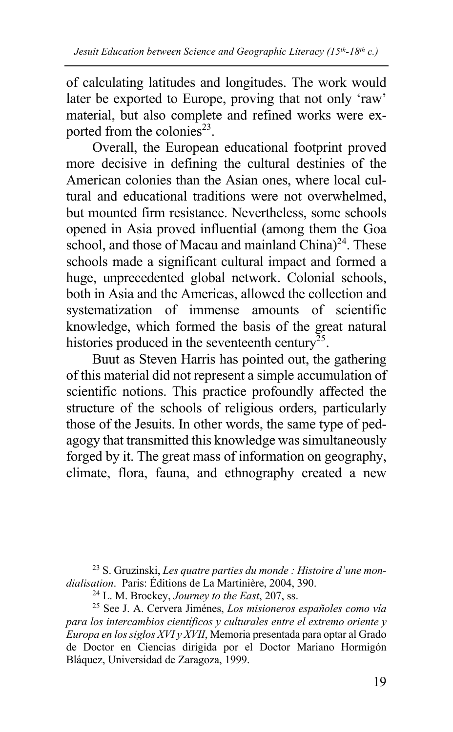of calculating latitudes and longitudes. The work would later be exported to Europe, proving that not only 'raw' material, but also complete and refined works were exported from the colonies<sup>23</sup>.

Overall, the European educational footprint proved more decisive in defining the cultural destinies of the American colonies than the Asian ones, where local cultural and educational traditions were not overwhelmed, but mounted firm resistance. Nevertheless, some schools opened in Asia proved influential (among them the Goa school, and those of Macau and mainland  $China)^{24}$ . These schools made a significant cultural impact and formed a huge, unprecedented global network. Colonial schools, both in Asia and the Americas, allowed the collection and systematization of immense amounts of scientific knowledge, which formed the basis of the great natural histories produced in the seventeenth century<sup> $25$ </sup>.

Buut as Steven Harris has pointed out, the gathering of this material did not represent a simple accumulation of scientific notions. This practice profoundly affected the structure of the schools of religious orders, particularly those of the Jesuits. In other words, the same type of pedagogy that transmitted this knowledge was simultaneously forged by it. The great mass of information on geography, climate, flora, fauna, and ethnography created a new

<sup>23</sup> S. Gruzinski, *Les quatre parties du monde : Histoire d'une mondialisation*. Paris: Éditions de La Martinière, 2004, 390.

<sup>25</sup> See J. A. Cervera Jiménes, *Los misioneros españoles como vía para los intercambios científicos y culturales entre el extremo oriente y Europa en los siglos XVI y XVII*, Memoria presentada para optar al Grado de Doctor en Ciencias dirigida por el Doctor Mariano Hormigón Bláquez, Universidad de Zaragoza, 1999.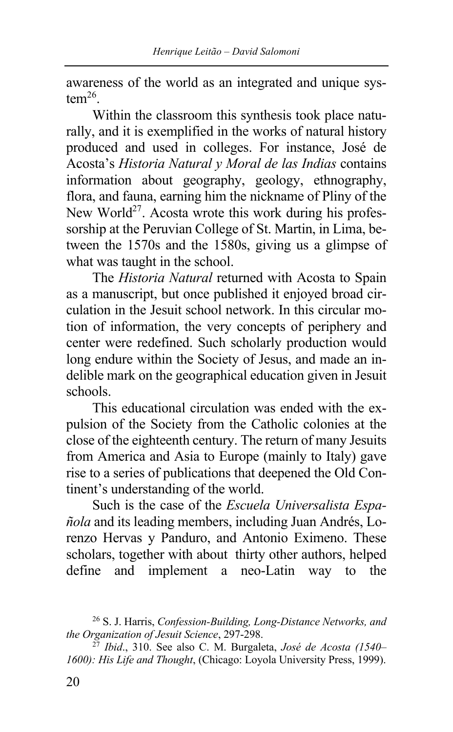awareness of the world as an integrated and unique sys $tem<sup>26</sup>$ .

Within the classroom this synthesis took place naturally, and it is exemplified in the works of natural history produced and used in colleges. For instance, José de Acosta's *Historia Natural y Moral de las Indias* contains information about geography, geology, ethnography, flora, and fauna, earning him the nickname of Pliny of the New World<sup>27</sup>. Acosta wrote this work during his professorship at the Peruvian College of St. Martin, in Lima, between the 1570s and the 1580s, giving us a glimpse of what was taught in the school.

The *Historia Natural* returned with Acosta to Spain as a manuscript, but once published it enjoyed broad circulation in the Jesuit school network. In this circular motion of information, the very concepts of periphery and center were redefined. Such scholarly production would long endure within the Society of Jesus, and made an indelible mark on the geographical education given in Jesuit schools.

This educational circulation was ended with the expulsion of the Society from the Catholic colonies at the close of the eighteenth century. The return of many Jesuits from America and Asia to Europe (mainly to Italy) gave rise to a series of publications that deepened the Old Continent's understanding of the world.

Such is the case of the *Escuela Universalista Española* and its leading members, including Juan Andrés, Lorenzo Hervas y Panduro, and Antonio Eximeno. These scholars, together with about thirty other authors, helped define and implement a neo-Latin way to the

<sup>26</sup> S. J. Harris, *Confession-Building, Long-Distance Networks, and the Organization of Jesuit Science*, 297-298.

<sup>27</sup> *Ibid*., 310. See also C. M. Burgaleta, *José de Acosta (1540– 1600): His Life and Thought*, (Chicago: Loyola University Press, 1999).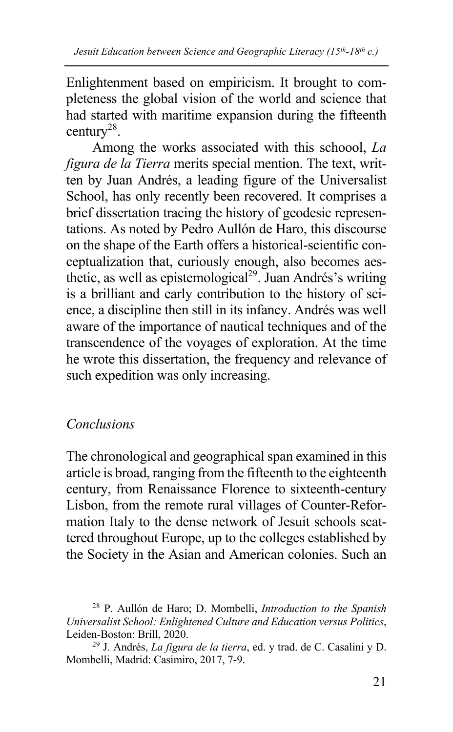Enlightenment based on empiricism. It brought to completeness the global vision of the world and science that had started with maritime expansion during the fifteenth century28.

Among the works associated with this schoool, *La figura de la Tierra* merits special mention. The text, written by Juan Andrés, a leading figure of the Universalist School, has only recently been recovered. It comprises a brief dissertation tracing the history of geodesic representations. As noted by Pedro Aullón de Haro, this discourse on the shape of the Earth offers a historical-scientific conceptualization that, curiously enough, also becomes aesthetic, as well as epistemological<sup>29</sup>. Juan Andrés's writing is a brilliant and early contribution to the history of science, a discipline then still in its infancy. Andrés was well aware of the importance of nautical techniques and of the transcendence of the voyages of exploration. At the time he wrote this dissertation, the frequency and relevance of such expedition was only increasing.

## *Conclusions*

The chronological and geographical span examined in this article is broad, ranging from the fifteenth to the eighteenth century, from Renaissance Florence to sixteenth-century Lisbon, from the remote rural villages of Counter-Reformation Italy to the dense network of Jesuit schools scattered throughout Europe, up to the colleges established by the Society in the Asian and American colonies. Such an

<sup>28</sup> P. Aullón de Haro; D. Mombelli, *Introduction to the Spanish Universalist School: Enlightened Culture and Education versus Politics*, Leiden-Boston: Brill, 2020.

<sup>29</sup> J. Andrés, *La figura de la tierra*, ed. y trad. de C. Casalini y D. Mombelli, Madrid: Casimiro, 2017, 7-9.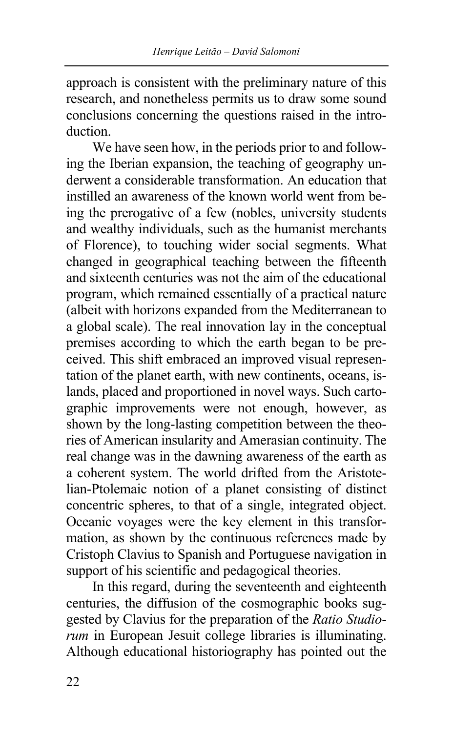approach is consistent with the preliminary nature of this research, and nonetheless permits us to draw some sound conclusions concerning the questions raised in the introduction.

We have seen how, in the periods prior to and following the Iberian expansion, the teaching of geography underwent a considerable transformation. An education that instilled an awareness of the known world went from being the prerogative of a few (nobles, university students and wealthy individuals, such as the humanist merchants of Florence), to touching wider social segments. What changed in geographical teaching between the fifteenth and sixteenth centuries was not the aim of the educational program, which remained essentially of a practical nature (albeit with horizons expanded from the Mediterranean to a global scale). The real innovation lay in the conceptual premises according to which the earth began to be preceived. This shift embraced an improved visual representation of the planet earth, with new continents, oceans, islands, placed and proportioned in novel ways. Such cartographic improvements were not enough, however, as shown by the long-lasting competition between the theories of American insularity and Amerasian continuity. The real change was in the dawning awareness of the earth as a coherent system. The world drifted from the Aristotelian-Ptolemaic notion of a planet consisting of distinct concentric spheres, to that of a single, integrated object. Oceanic voyages were the key element in this transformation, as shown by the continuous references made by Cristoph Clavius to Spanish and Portuguese navigation in support of his scientific and pedagogical theories.

In this regard, during the seventeenth and eighteenth centuries, the diffusion of the cosmographic books suggested by Clavius for the preparation of the *Ratio Studiorum* in European Jesuit college libraries is illuminating. Although educational historiography has pointed out the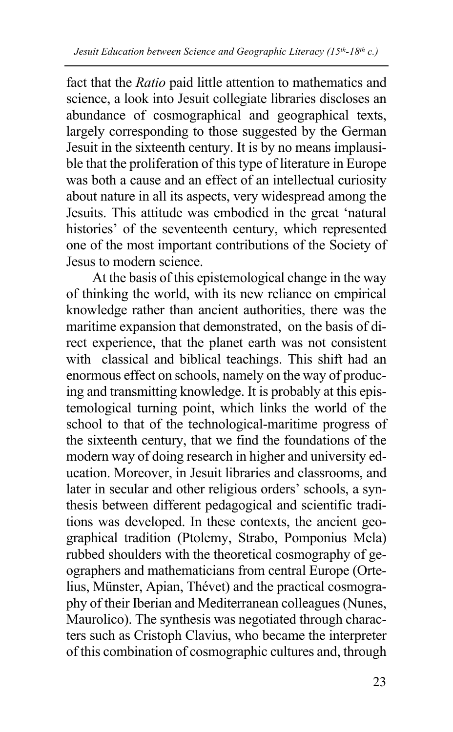fact that the *Ratio* paid little attention to mathematics and science, a look into Jesuit collegiate libraries discloses an abundance of cosmographical and geographical texts, largely corresponding to those suggested by the German Jesuit in the sixteenth century. It is by no means implausible that the proliferation of this type of literature in Europe was both a cause and an effect of an intellectual curiosity about nature in all its aspects, very widespread among the Jesuits. This attitude was embodied in the great 'natural histories' of the seventeenth century, which represented one of the most important contributions of the Society of Jesus to modern science.

At the basis of this epistemological change in the way of thinking the world, with its new reliance on empirical knowledge rather than ancient authorities, there was the maritime expansion that demonstrated, on the basis of direct experience, that the planet earth was not consistent with classical and biblical teachings. This shift had an enormous effect on schools, namely on the way of producing and transmitting knowledge. It is probably at this epistemological turning point, which links the world of the school to that of the technological-maritime progress of the sixteenth century, that we find the foundations of the modern way of doing research in higher and university education. Moreover, in Jesuit libraries and classrooms, and later in secular and other religious orders' schools, a synthesis between different pedagogical and scientific traditions was developed. In these contexts, the ancient geographical tradition (Ptolemy, Strabo, Pomponius Mela) rubbed shoulders with the theoretical cosmography of geographers and mathematicians from central Europe (Ortelius, Münster, Apian, Thévet) and the practical cosmography of their Iberian and Mediterranean colleagues (Nunes, Maurolico). The synthesis was negotiated through characters such as Cristoph Clavius, who became the interpreter of this combination of cosmographic cultures and, through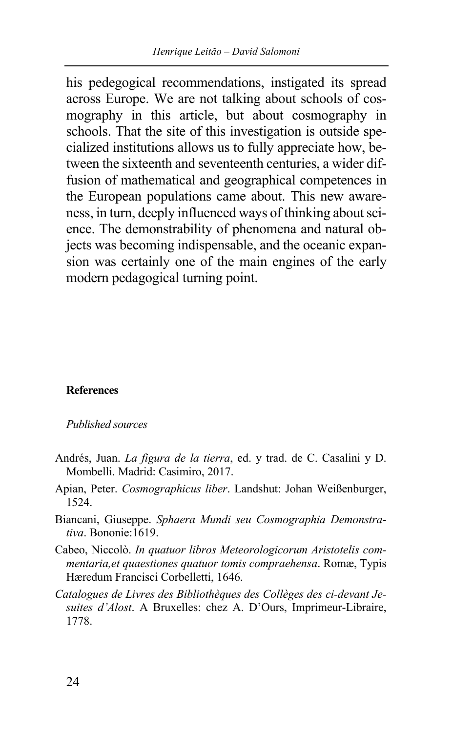his pedegogical recommendations, instigated its spread across Europe. We are not talking about schools of cosmography in this article, but about cosmography in schools. That the site of this investigation is outside specialized institutions allows us to fully appreciate how, between the sixteenth and seventeenth centuries, a wider diffusion of mathematical and geographical competences in the European populations came about. This new awareness, in turn, deeply influenced ways of thinking about science. The demonstrability of phenomena and natural objects was becoming indispensable, and the oceanic expansion was certainly one of the main engines of the early modern pedagogical turning point.

### **References**

*Published sources* 

- Andrés, Juan. *La figura de la tierra*, ed. y trad. de C. Casalini y D. Mombelli. Madrid: Casimiro, 2017.
- Apian, Peter. *Cosmographicus liber*. Landshut: Johan Weißenburger, 1524.
- Biancani, Giuseppe. *Sphaera Mundi seu Cosmographia Demonstrativa*. Bononie:1619.
- Cabeo, Niccolò. *In quatuor libros Meteorologicorum Aristotelis commentaria,et quaestiones quatuor tomis compraehensa*. Romæ, Typis Hæredum Francisci Corbelletti, 1646.
- *Catalogues de Livres des Bibliothèques des Collèges des ci-devant Jesuites d'Alost*. A Bruxelles: chez A. D'Ours, Imprimeur-Libraire, 1778.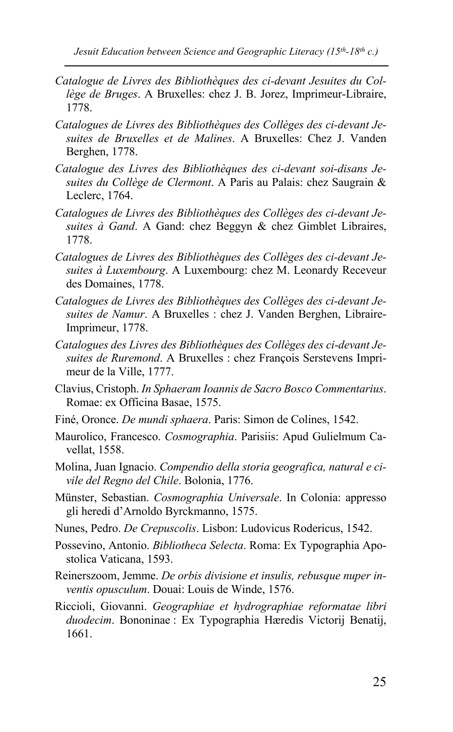- *Catalogue de Livres des Bibliothèques des ci-devant Jesuites du Collège de Bruges*. A Bruxelles: chez J. B. Jorez, Imprimeur-Libraire, 1778.
- *Catalogues de Livres des Bibliothèques des Collèges des ci-devant Jesuites de Bruxelles et de Malines*. A Bruxelles: Chez J. Vanden Berghen, 1778.
- *Catalogue des Livres des Bibliothèques des ci-devant soi-disans Jesuites du Collège de Clermont*. A Paris au Palais: chez Saugrain & Leclerc, 1764.
- *Catalogues de Livres des Bibliothèques des Collèges des ci-devant Jesuites à Gand*. A Gand: chez Beggyn & chez Gimblet Libraires, 1778.
- *Catalogues de Livres des Bibliothèques des Collèges des ci-devant Jesuites à Luxembourg*. A Luxembourg: chez M. Leonardy Receveur des Domaines, 1778.
- *Catalogues de Livres des Bibliothèques des Collèges des ci-devant Jesuites de Namur*. A Bruxelles : chez J. Vanden Berghen, Libraire-Imprimeur, 1778.
- *Catalogues des Livres des Bibliothèques des Collèges des ci-devant Jesuites de Ruremond*. A Bruxelles : chez François Serstevens Imprimeur de la Ville, 1777.
- Clavius, Cristoph. *In Sphaeram Ioannis de Sacro Bosco Commentarius*. Romae: ex Officina Basae, 1575.
- Finé, Oronce. *De mundi sphaera*. Paris: Simon de Colines, 1542.
- Maurolico, Francesco. *Cosmographia*. Parisiis: Apud Gulielmum Cavellat, 1558.
- Molina, Juan Ignacio. *Compendio della storia geografica, natural e civile del Regno del Chile*. Bolonia, 1776.
- Münster, Sebastian. *Cosmographia Universale*. In Colonia: appresso gli heredi d'Arnoldo Byrckmanno, 1575.
- Nunes, Pedro. *De Crepuscolis*. Lisbon: Ludovicus Rodericus, 1542.
- Possevino, Antonio. *Bibliotheca Selecta*. Roma: Ex Typographia Apostolica Vaticana, 1593.
- Reinerszoom, Jemme. *De orbis divisione et insulis, rebusque nuper inventis opusculum*. Douai: Louis de Winde, 1576.
- Riccioli, Giovanni. *Geographiae et hydrographiae reformatae libri duodecim*. Bononinae : Ex Typographia Hæredis Victorij Benatij, 1661.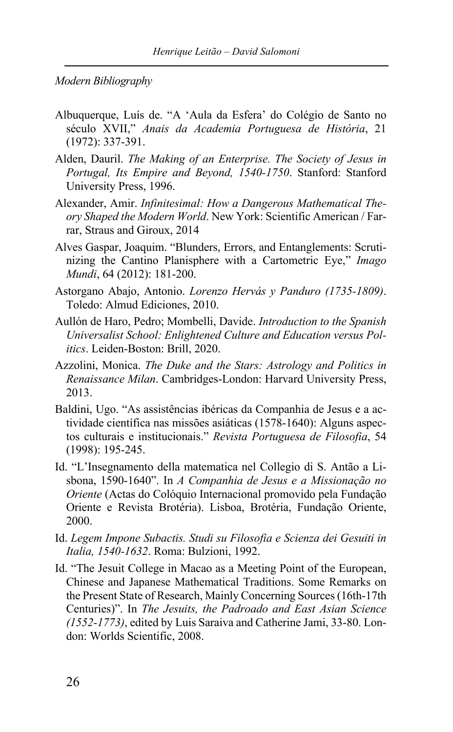*Modern Bibliography*

- Albuquerque, Luís de. "A 'Aula da Esfera' do Colégio de Santo no século XVII," *Anais da Academia Portuguesa de História*, 21 (1972): 337-391.
- Alden, Dauril. *The Making of an Enterprise. The Society of Jesus in Portugal, Its Empire and Beyond, 1540-1750*. Stanford: Stanford University Press, 1996.
- Alexander, Amir. *Infinitesimal: How a Dangerous Mathematical Theory Shaped the Modern World*. New York: Scientific American / Farrar, Straus and Giroux, 2014
- Alves Gaspar, Joaquim. "Blunders, Errors, and Entanglements: Scrutinizing the Cantino Planisphere with a Cartometric Eye," *Imago Mundi*, 64 (2012): 181-200.
- Astorgano Abajo, Antonio. *Lorenzo Hervás y Panduro (1735-1809)*. Toledo: Almud Ediciones, 2010.
- Aullón de Haro, Pedro; Mombelli, Davide. *Introduction to the Spanish Universalist School: Enlightened Culture and Education versus Politics*. Leiden-Boston: Brill, 2020.
- Azzolini, Monica. *The Duke and the Stars: Astrology and Politics in Renaissance Milan*. Cambridges-London: Harvard University Press, 2013.
- Baldini, Ugo. "As assistências ibéricas da Companhia de Jesus e a actividade científica nas missões asiáticas (1578-1640): Alguns aspectos culturais e institucionais." *Revista Portuguesa de Filosofia*, 54 (1998): 195-245.
- Id. "L'Insegnamento della matematica nel Collegio di S. Antão a Lisbona, 1590-1640". In *A Companhia de Jesus e a Missionação no Oriente* (Actas do Colóquio Internacional promovido pela Fundação Oriente e Revista Brotéria). Lisboa, Brotéria, Fundação Oriente, 2000.
- Id. *Legem Impone Subactis. Studi su Filosofia e Scienza dei Gesuiti in Italia, 1540-1632*. Roma: Bulzioni, 1992.
- Id. "The Jesuit College in Macao as a Meeting Point of the European, Chinese and Japanese Mathematical Traditions. Some Remarks on the Present State of Research, Mainly Concerning Sources (16th-17th Centuries)". In *The Jesuits, the Padroado and East Asian Science (1552-1773)*, edited by Luis Saraiva and Catherine Jami, 33-80. London: Worlds Scientific, 2008.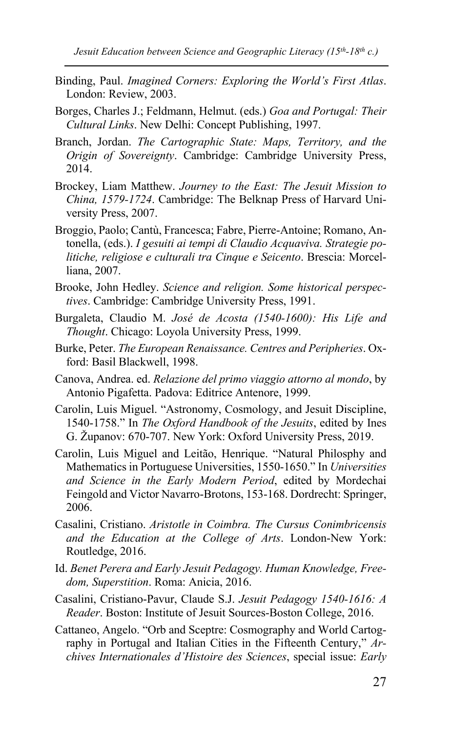- Binding, Paul. *Imagined Corners: Exploring the World's First Atlas*. London: Review, 2003.
- Borges, Charles J.; Feldmann, Helmut. (eds.) *Goa and Portugal: Their Cultural Links*. New Delhi: Concept Publishing, 1997.
- Branch, Jordan. *The Cartographic State: Maps, Territory, and the Origin of Sovereignty*. Cambridge: Cambridge University Press, 2014.
- Brockey, Liam Matthew. *Journey to the East: The Jesuit Mission to China, 1579-1724*. Cambridge: The Belknap Press of Harvard University Press, 2007.
- Broggio, Paolo; Cantù, Francesca; Fabre, Pierre-Antoine; Romano, Antonella, (eds.). *I gesuiti ai tempi di Claudio Acquaviva. Strategie politiche, religiose e culturali tra Cinque e Seicento*. Brescia: Morcelliana, 2007.
- Brooke, John Hedley. *Science and religion. Some historical perspectives*. Cambridge: Cambridge University Press, 1991.
- Burgaleta, Claudio M. *José de Acosta (1540-1600): His Life and Thought*. Chicago: Loyola University Press, 1999.
- Burke, Peter. *The European Renaissance. Centres and Peripheries*. Oxford: Basil Blackwell, 1998.
- Canova, Andrea. ed. *Relazione del primo viaggio attorno al mondo*, by Antonio Pigafetta. Padova: Editrice Antenore, 1999.
- Carolin, Luis Miguel. "Astronomy, Cosmology, and Jesuit Discipline, 1540-1758." In *The Oxford Handbook of the Jesuits*, edited by Ines G. Županov: 670-707. New York: Oxford University Press, 2019.
- Carolin, Luis Miguel and Leitão, Henrique. "Natural Philosphy and Mathematics in Portuguese Universities, 1550-1650." In *Universities and Science in the Early Modern Period*, edited by Mordechai Feingold and Victor Navarro-Brotons, 153-168. Dordrecht: Springer, 2006.
- Casalini, Cristiano. *Aristotle in Coimbra. The Cursus Conimbricensis and the Education at the College of Arts*. London-New York: Routledge, 2016.
- Id. *Benet Perera and Early Jesuit Pedagogy. Human Knowledge, Freedom, Superstition*. Roma: Anicia, 2016.
- Casalini, Cristiano-Pavur, Claude S.J. *Jesuit Pedagogy 1540-1616: A Reader*. Boston: Institute of Jesuit Sources-Boston College, 2016.
- Cattaneo, Angelo. "Orb and Sceptre: Cosmography and World Cartography in Portugal and Italian Cities in the Fifteenth Century," *Archives Internationales d'Histoire des Sciences*, special issue: *Early*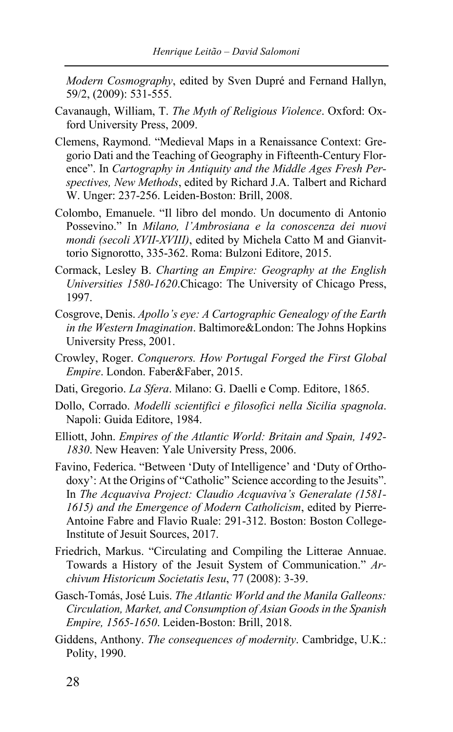*Modern Cosmography*, edited by Sven Dupré and Fernand Hallyn, 59/2, (2009): 531-555.

- Cavanaugh, William, T. *The Myth of Religious Violence*. Oxford: Oxford University Press, 2009.
- Clemens, Raymond. "Medieval Maps in a Renaissance Context: Gregorio Dati and the Teaching of Geography in Fifteenth-Century Florence". In *Cartography in Antiquity and the Middle Ages Fresh Perspectives, New Methods*, edited by Richard J.A. Talbert and Richard W. Unger: 237-256. Leiden-Boston: Brill, 2008.
- Colombo, Emanuele. "Il libro del mondo. Un documento di Antonio Possevino." In *Milano, l'Ambrosiana e la conoscenza dei nuovi mondi (secoli XVII-XVIII)*, edited by Michela Catto M and Gianvittorio Signorotto, 335-362. Roma: Bulzoni Editore, 2015.
- Cormack, Lesley B. *Charting an Empire: Geography at the English Universities 1580-1620*.Chicago: The University of Chicago Press, 1997.
- Cosgrove, Denis. *Apollo's eye: A Cartographic Genealogy of the Earth in the Western Imagination*. Baltimore&London: The Johns Hopkins University Press, 2001.
- Crowley, Roger. *Conquerors. How Portugal Forged the First Global Empire*. London. Faber&Faber, 2015.
- Dati, Gregorio. *La Sfera*. Milano: G. Daelli e Comp. Editore, 1865.
- Dollo, Corrado. *Modelli scientifici e filosofici nella Sicilia spagnola*. Napoli: Guida Editore, 1984.
- Elliott, John. *Empires of the Atlantic World: Britain and Spain, 1492- 1830*. New Heaven: Yale University Press, 2006.
- Favino, Federica. "Between 'Duty of Intelligence' and 'Duty of Orthodoxy': At the Origins of "Catholic" Science according to the Jesuits". In *The Acquaviva Project: Claudio Acquaviva's Generalate (1581- 1615) and the Emergence of Modern Catholicism*, edited by Pierre-Antoine Fabre and Flavio Ruale: 291-312. Boston: Boston College-Institute of Jesuit Sources, 2017.
- Friedrich, Markus. "Circulating and Compiling the Litterae Annuae. Towards a History of the Jesuit System of Communication." *Archivum Historicum Societatis Iesu*, 77 (2008): 3-39.
- Gasch-Tomás, José Luis. *The Atlantic World and the Manila Galleons: Circulation, Market, and Consumption of Asian Goods in the Spanish Empire, 1565-1650*. Leiden-Boston: Brill, 2018.
- Giddens, Anthony. *The consequences of modernity*. Cambridge, U.K.: Polity, 1990.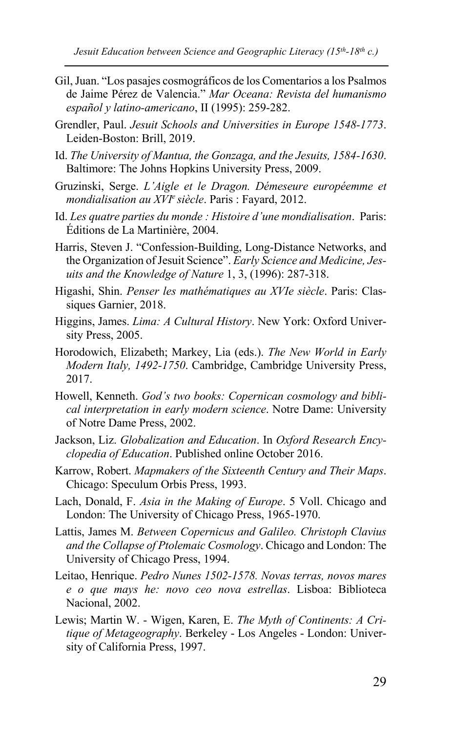- Gil, Juan. "Los pasajes cosmográficos de los Comentarios a los Psalmos de Jaime Pérez de Valencia." *Mar Oceana: Revista del humanismo español y latino-americano*, II (1995): 259-282.
- Grendler, Paul. *Jesuit Schools and Universities in Europe 1548-1773*. Leiden-Boston: Brill, 2019.
- Id. *The University of Mantua, the Gonzaga, and the Jesuits, 1584-1630*. Baltimore: The Johns Hopkins University Press, 2009.
- Gruzinski, Serge. *L'Aigle et le Dragon. Démeseure européemme et mondialisation au XVIe siècle*. Paris : Fayard, 2012.
- Id. *Les quatre parties du monde : Histoire d'une mondialisation*. Paris: Éditions de La Martinière, 2004.
- Harris, Steven J. "Confession-Building, Long-Distance Networks, and the Organization of Jesuit Science". *Early Science and Medicine, Jesuits and the Knowledge of Nature* 1, 3, (1996): 287-318.
- Higashi, Shin. *Penser les mathématiques au XVIe siècle*. Paris: Classiques Garnier, 2018.
- Higgins, James. *Lima: A Cultural History*. New York: Oxford University Press, 2005.
- Horodowich, Elizabeth; Markey, Lia (eds.). *The New World in Early Modern Italy, 1492-1750*. Cambridge, Cambridge University Press, 2017.
- Howell, Kenneth. *God's two books: Copernican cosmology and biblical interpretation in early modern science*. Notre Dame: University of Notre Dame Press, 2002.
- Jackson, Liz. *Globalization and Education*. In *Oxford Research Encyclopedia of Education*. Published online October 2016.
- Karrow, Robert. *Mapmakers of the Sixteenth Century and Their Maps*. Chicago: Speculum Orbis Press, 1993.
- Lach, Donald, F. *Asia in the Making of Europe*. 5 Voll. Chicago and London: The University of Chicago Press, 1965-1970.
- Lattis, James M. *Between Copernicus and Galileo. Christoph Clavius and the Collapse of Ptolemaic Cosmology*. Chicago and London: The University of Chicago Press, 1994.
- Leitao, Henrique. *Pedro Nunes 1502-1578. Novas terras, novos mares e o que mays he: novo ceo nova estrellas*. Lisboa: Biblioteca Nacional, 2002.
- Lewis; Martin W. Wigen, Karen, E. *The Myth of Continents: A Critique of Metageography*. Berkeley - Los Angeles - London: University of California Press, 1997.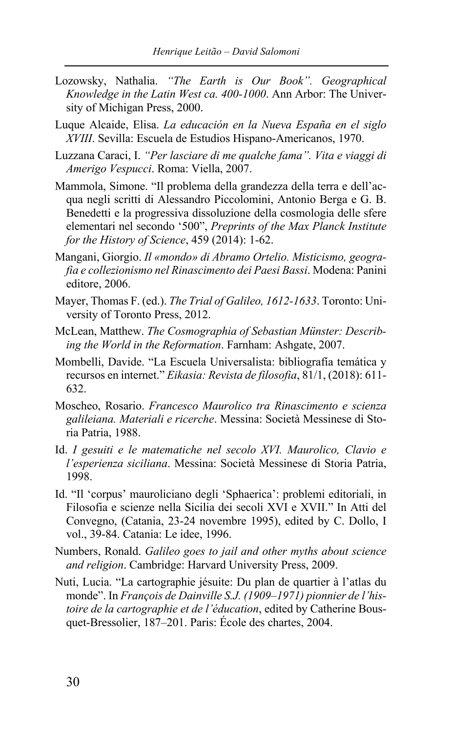- Lozowsky, Nathalia. *"The Earth is Our Book". Geographical Knowledge in the Latin West ca. 400-1000*. Ann Arbor: The University of Michigan Press, 2000.
- Luque Alcaide, Elisa. *La educación en la Nueva España en el siglo XVIII*. Sevilla: Escuela de Estudios Hispano-Americanos, 1970.
- Luzzana Caraci, I. *"Per lasciare di me qualche fama". Vita e viaggi di Amerigo Vespucci*. Roma: Viella, 2007.
- Mammola, Simone. "Il problema della grandezza della terra e dell'acqua negli scritti di Alessandro Piccolomini, Antonio Berga e G. B. Benedetti e la progressiva dissoluzione della cosmologia delle sfere elementari nel secondo '500", *Preprints of the Max Planck Institute for the History of Science*, 459 (2014): 1-62.
- Mangani, Giorgio. *Il «mondo» di Abramo Ortelio. Misticismo, geografia e collezionismo nel Rinascimento dei Paesi Bassi*. Modena: Panini editore, 2006.
- Mayer, Thomas F. (ed.). *The Trial of Galileo, 1612-1633*. Toronto: University of Toronto Press, 2012.
- McLean, Matthew. *The Cosmographia of Sebastian Münster: Describing the World in the Reformation*. Farnham: Ashgate, 2007.
- Mombelli, Davide. "La Escuela Universalista: bibliografía temática y recursos en internet." *Eikasia: Revista de filosofia*, 81/1, (2018): 611- 632.
- Moscheo, Rosario. *Francesco Maurolico tra Rinascimento e scienza galileiana. Materiali e ricerche*. Messina: Società Messinese di Storia Patria, 1988.
- Id. *I gesuiti e le matematiche nel secolo XVI. Maurolico, Clavio e l'esperienza siciliana*. Messina: Società Messinese di Storia Patria, 1998.
- Id. "Il 'corpus' mauroliciano degli 'Sphaerica': problemi editoriali, in Filosofia e scienze nella Sicilia dei secoli XVI e XVII." In Atti del Convegno, (Catania, 23-24 novembre 1995), edited by C. Dollo, I vol., 39-84. Catania: Le idee, 1996.
- Numbers, Ronald. *Galileo goes to jail and other myths about science and religion*. Cambridge: Harvard University Press, 2009.
- Nuti, Lucia. "La cartographie jésuite: Du plan de quartier à l'atlas du monde". In *François de Dainville S.J. (1909–1971) pionnier de l'histoire de la cartographie et de l'éducation*, edited by Catherine Bousquet-Bressolier, 187–201. Paris: École des chartes, 2004.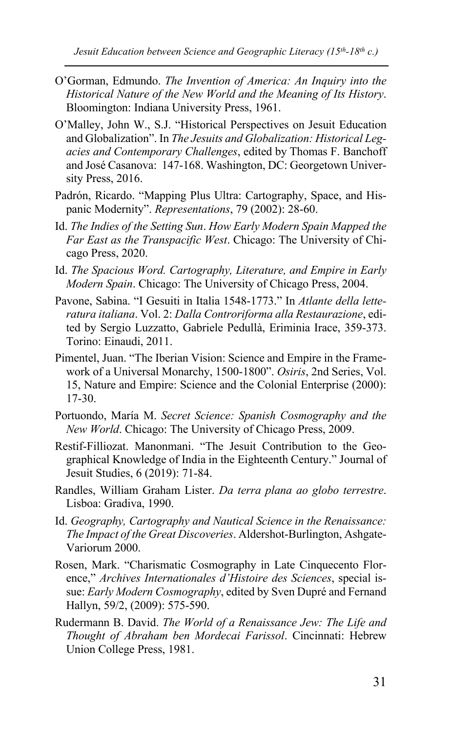*Jesuit Education between Science and Geographic Literacy (15th-18th c.)*

- O'Gorman, Edmundo. *The Invention of America: An Inquiry into the Historical Nature of the New World and the Meaning of Its History*. Bloomington: Indiana University Press, 1961.
- O'Malley, John W., S.J. "Historical Perspectives on Jesuit Education and Globalization". In *The Jesuits and Globalization: Historical Legacies and Contemporary Challenges*, edited by Thomas F. Banchoff and José Casanova: 147-168. Washington, DC: Georgetown University Press, 2016.
- Padrón, Ricardo. "Mapping Plus Ultra: Cartography, Space, and Hispanic Modernity". *Representations*, 79 (2002): 28-60.
- Id. *The Indies of the Setting Sun*. *How Early Modern Spain Mapped the Far East as the Transpacific West*. Chicago: The University of Chicago Press, 2020.
- Id. *The Spacious Word. Cartography, Literature, and Empire in Early Modern Spain*. Chicago: The University of Chicago Press, 2004.
- Pavone, Sabina. "I Gesuiti in Italia 1548-1773." In *Atlante della letteratura italiana*. Vol. 2: *Dalla Controriforma alla Restaurazione*, edited by Sergio Luzzatto, Gabriele Pedullà, Eriminia Irace, 359-373. Torino: Einaudi, 2011.
- Pimentel, Juan. "The Iberian Vision: Science and Empire in the Framework of a Universal Monarchy, 1500-1800". *Osiris*, 2nd Series, Vol. 15, Nature and Empire: Science and the Colonial Enterprise (2000): 17-30.
- Portuondo, María M. *Secret Science: Spanish Cosmography and the New World*. Chicago: The University of Chicago Press, 2009.
- Restif-Filliozat. Manonmani. "The Jesuit Contribution to the Geographical Knowledge of India in the Eighteenth Century." Journal of Jesuit Studies, 6 (2019): 71-84.
- Randles, William Graham Lister. *Da terra plana ao globo terrestre*. Lisboa: Gradiva, 1990.
- Id. *Geography, Cartography and Nautical Science in the Renaissance: The Impact of the Great Discoveries*. Aldershot-Burlington, Ashgate-Variorum 2000.
- Rosen, Mark. "Charismatic Cosmography in Late Cinquecento Florence," *Archives Internationales d'Histoire des Sciences*, special issue: *Early Modern Cosmography*, edited by Sven Dupré and Fernand Hallyn, 59/2, (2009): 575-590.
- Rudermann B. David. *The World of a Renaissance Jew: The Life and Thought of Abraham ben Mordecai Farissol*. Cincinnati: Hebrew Union College Press, 1981.